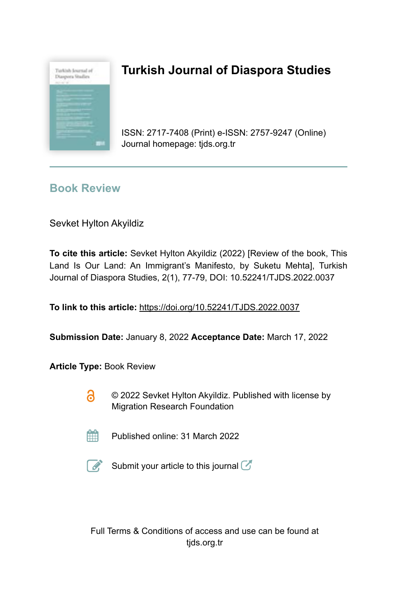

# **Turkish Journal of Diaspora Studies**

ISSN: 2717-7408 (Print) e-ISSN: 2757-9247 (Online) Journal homepage: tjds.org.tr

## **Book Review**

Sevket Hylton Akyildiz

**To cite this article:** Sevket Hylton Akyildiz (2022) [Review of the book, This Land Is Our Land: An Immigrant's Manifesto, by Suketu Mehta], Turkish Journal of Diaspora Studies, 2(1), 77-79, DOI: 10.52241/TJDS.2022.0037

**To link to this article:** https://doi.org/10.52241/TJDS.2022.0037

**Submission Date:** January 8, 2022 **Acceptance Date:** March 17, 2022

**Article Type:** Book Review

- 6 © 2022 Sevket Hylton Akyildiz. Published with license by Migration Research Foundation
- 鮋 Published online: 31 March 2022



Submit your article to this journal  $\mathbb Z$ 

Full Terms & Conditions of access and use can be found at tjds.org.tr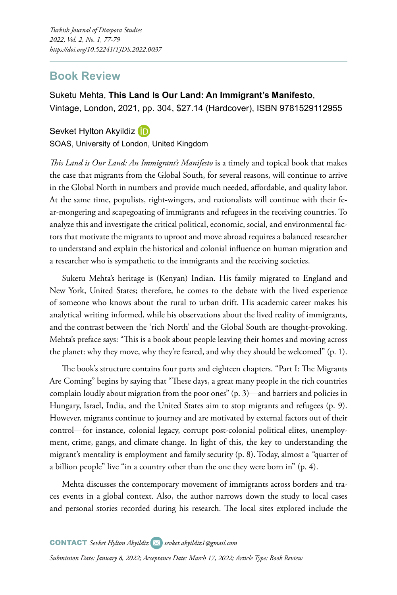### **Book Review**

Suketu Mehta, **This Land Is Our Land: An Immigrant's Manifesto**, Vintage, London, 2021, pp. 304, \$27.14 (Hardcover), ISBN 9781529112955

### SevketHylton Akyildiz (D)

SOAS, University of London, United Kingdom

*This Land is Our Land: An Immigrant's Manifesto* is a timely and topical book that makes the case that migrants from the Global South, for several reasons, will continue to arrive in the Global North in numbers and provide much needed, affordable, and quality labor. At the same time, populists, right-wingers, and nationalists will continue with their fear-mongering and scapegoating of immigrants and refugees in the receiving countries. To analyze this and investigate the critical political, economic, social, and environmental factors that motivate the migrants to uproot and move abroad requires a balanced researcher to understand and explain the historical and colonial influence on human migration and a researcher who is sympathetic to the immigrants and the receiving societies.

Suketu Mehta's heritage is (Kenyan) Indian. His family migrated to England and New York, United States; therefore, he comes to the debate with the lived experience of someone who knows about the rural to urban drift. His academic career makes his analytical writing informed, while his observations about the lived reality of immigrants, and the contrast between the 'rich North' and the Global South are thought-provoking. Mehta's preface says: "This is a book about people leaving their homes and moving across the planet: why they move, why they're feared, and why they should be welcomed" (p. 1).

The book's structure contains four parts and eighteen chapters. "Part I: The Migrants Are Coming" begins by saying that "These days, a great many people in the rich countries complain loudly about migration from the poor ones" (p. 3)—and barriers and policies in Hungary, Israel, India, and the United States aim to stop migrants and refugees (p. 9). However, migrants continue to journey and are motivated by external factors out of their control—for instance, colonial legacy, corrupt post-colonial political elites, unemployment, crime, gangs, and climate change. In light of this, the key to understanding the migrant's mentality is employment and family security (p. 8). Today, almost a *"*quarter of a billion people" live "in a country other than the one they were born in" (p. 4).

Mehta discusses the contemporary movement of immigrants across borders and traces events in a global context. Also, the author narrows down the study to local cases and personal stories recorded during his research. The local sites explored include the

*Submission Date: January 8, 2022; Acceptance Date: March 17, 2022; Article Type: Book Review*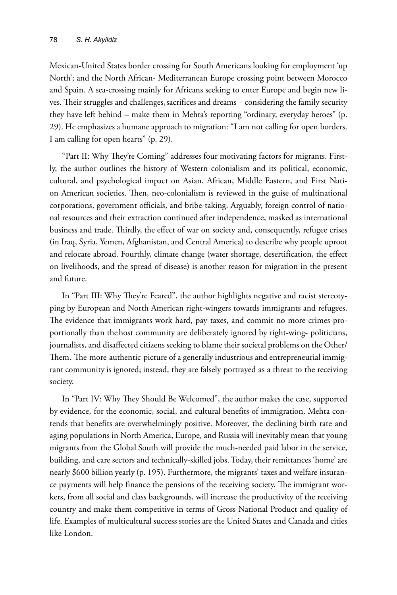Mexican-United States border crossing for South Americans looking for employment 'up North'; and the North African- Mediterranean Europe crossing point between Morocco and Spain. A sea-crossing mainly for Africans seeking to enter Europe and begin new lives. Their struggles and challenges, sacrifices and dreams – considering the family security they have left behind – make them in Mehta's reporting "ordinary, everyday heroes" (p. 29). He emphasizes a humane approach to migration: "I am not calling for open borders. I am calling for open hearts" (p. 29).

"Part II: Why They're Coming" addresses four motivating factors for migrants. Firstly, the author outlines the history of Western colonialism and its political, economic, cultural, and psychological impact on Asian, African, Middle Eastern, and First Nation American societies. Then, neo-colonialism is reviewed in the guise of multinational corporations, government officials, and bribe-taking. Arguably, foreign control of national resources and their extraction continued after independence, masked as international business and trade. Thirdly, the effect of war on society and, consequently, refugee crises (in Iraq, Syria, Yemen, Afghanistan, and Central America) to describe why people uproot and relocate abroad. Fourthly, climate change (water shortage, desertification, the effect on livelihoods, and the spread of disease) is another reason for migration in the present and future.

In "Part III: Why They're Feared", the author highlights negative and racist stereotyping by European and North American right-wingers towards immigrants and refugees. The evidence that immigrants work hard, pay taxes, and commit no more crimes proportionally than the host community are deliberately ignored by right-wing- politicians, journalists, and disaffected citizens seeking to blame their societal problems on the Other/ Them. The more authentic picture of a generally industrious and entrepreneurial immigrant community is ignored; instead, they are falsely portrayed as a threat to the receiving society.

In "Part IV: Why They Should Be Welcomed", the author makes the case, supported by evidence, for the economic, social, and cultural benefits of immigration. Mehta contends that benefits are overwhelmingly positive. Moreover, the declining birth rate and aging populations in North America, Europe, and Russia will inevitably mean that young migrants from the Global South will provide the much-needed paid labor in the service, building, and care sectors and technically-skilled jobs. Today, their remittances 'home' are nearly \$600 billion yearly (p. 195). Furthermore, the migrants' taxes and welfare insurance payments will help finance the pensions of the receiving society. The immigrant workers, from all social and class backgrounds, will increase the productivity of the receiving country and make them competitive in terms of Gross National Product and quality of life. Examples of multicultural success stories are the United States and Canada and cities like London.